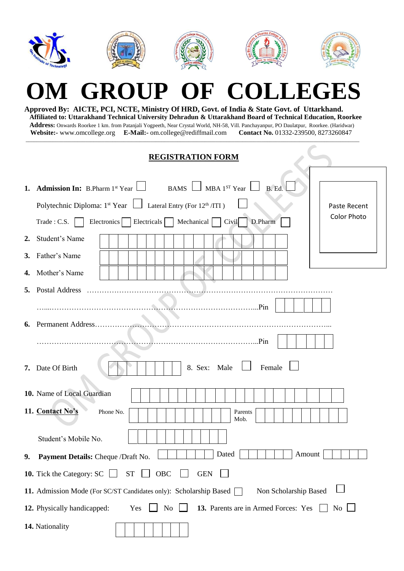|    | OM GROUP OF COLLEGES<br>Approved By: AICTE, PCI, NCTE, Ministry Of HRD, Govt. of India & State Govt. of Uttarkhand.<br>Affiliated to: Uttarakhand Technical University Dehradun & Uttarakhand Board of Technical Education, Roorkee<br>Address: Onwards Roorkee 1 km. from Patanjali Yogpeeth, Near Crystal World, NH-58, Vill. Panchayanpur, PO Daulatpur, Roorkee. (Haridwar)<br>Website:- www.omcollege.org E-Mail:- om.college@rediffmail.com<br>Contact No. 01332-239500, 8273260847 |
|----|-------------------------------------------------------------------------------------------------------------------------------------------------------------------------------------------------------------------------------------------------------------------------------------------------------------------------------------------------------------------------------------------------------------------------------------------------------------------------------------------|
|    | <b>REGISTRATION FORM</b>                                                                                                                                                                                                                                                                                                                                                                                                                                                                  |
| 1. | BAMS $\Box$ MBA 1 <sup>ST</sup> Year $\Box$<br><b>Admission In:</b> B.Pharm $1^{st}$ Year<br>B. Ed.<br>Polytechnic Diploma: $1^{st}$ Year $\Box$ Lateral Entry (For $12^{th}/TTI$ )<br>Paste Recent<br><b>Color Photo</b><br>Electricals   Mechanical<br>Civil<br>D.Pharm<br>Trade: C.S.<br>Electronics                                                                                                                                                                                   |
| 2. | Student's Name                                                                                                                                                                                                                                                                                                                                                                                                                                                                            |
| 3. | Father's Name                                                                                                                                                                                                                                                                                                                                                                                                                                                                             |
| 4. | Mother's Name                                                                                                                                                                                                                                                                                                                                                                                                                                                                             |
| 5. | <b>Postal Address</b><br>Pin                                                                                                                                                                                                                                                                                                                                                                                                                                                              |
|    | .Pin                                                                                                                                                                                                                                                                                                                                                                                                                                                                                      |
| 7. | 8. Sex: Male<br>Female<br>Date Of Birth                                                                                                                                                                                                                                                                                                                                                                                                                                                   |
|    | 10. Name of Local Guardian                                                                                                                                                                                                                                                                                                                                                                                                                                                                |
|    | 11. Contact No's<br>Phone No.<br>Parents<br>Mob.                                                                                                                                                                                                                                                                                                                                                                                                                                          |
|    | Student's Mobile No.                                                                                                                                                                                                                                                                                                                                                                                                                                                                      |
| 9. | Dated<br>Amount<br>Payment Details: Cheque /Draft No.                                                                                                                                                                                                                                                                                                                                                                                                                                     |
|    | <b>10.</b> Tick the Category: SC  <br><b>ST</b><br>OBC<br><b>GEN</b>                                                                                                                                                                                                                                                                                                                                                                                                                      |
|    | Non Scholarship Based<br>11. Admission Mode (For SC/ST Candidates only): Scholarship Based [                                                                                                                                                                                                                                                                                                                                                                                              |
|    | 12. Physically handicapped:<br>No<br>13. Parents are in Armed Forces: Yes<br>Yes<br>No.                                                                                                                                                                                                                                                                                                                                                                                                   |
|    | 14. Nationality                                                                                                                                                                                                                                                                                                                                                                                                                                                                           |